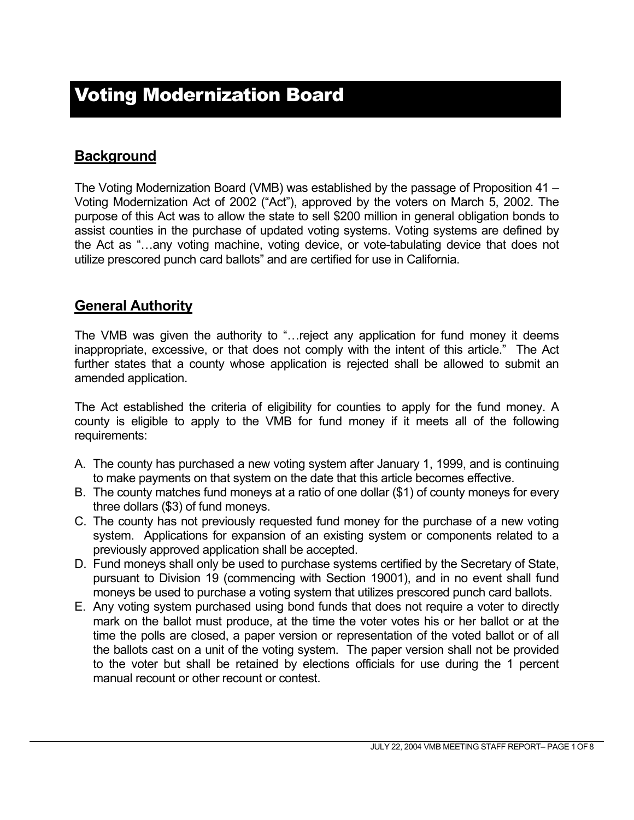## **Background**

The Voting Modernization Board (VMB) was established by the passage of Proposition 41 – Voting Modernization Act of 2002 ("Act"), approved by the voters on March 5, 2002. The purpose of this Act was to allow the state to sell \$200 million in general obligation bonds to assist counties in the purchase of updated voting systems. Voting systems are defined by the Act as "…any voting machine, voting device, or vote-tabulating device that does not utilize prescored punch card ballots" and are certified for use in California.

### **General Authority**

The VMB was given the authority to "…reject any application for fund money it deems inappropriate, excessive, or that does not comply with the intent of this article." The Act further states that a county whose application is rejected shall be allowed to submit an amended application.

The Act established the criteria of eligibility for counties to apply for the fund money. A county is eligible to apply to the VMB for fund money if it meets all of the following requirements:

- A. The county has purchased a new voting system after January 1, 1999, and is continuing to make payments on that system on the date that this article becomes effective.
- B. The county matches fund moneys at a ratio of one dollar (\$1) of county moneys for every three dollars (\$3) of fund moneys.
- C. The county has not previously requested fund money for the purchase of a new voting system. Applications for expansion of an existing system or components related to a previously approved application shall be accepted.
- D. Fund moneys shall only be used to purchase systems certified by the Secretary of State, pursuant to Division 19 (commencing with Section 19001), and in no event shall fund moneys be used to purchase a voting system that utilizes prescored punch card ballots.
- E. Any voting system purchased using bond funds that does not require a voter to directly mark on the ballot must produce, at the time the voter votes his or her ballot or at the time the polls are closed, a paper version or representation of the voted ballot or of all the ballots cast on a unit of the voting system. The paper version shall not be provided to the voter but shall be retained by elections officials for use during the 1 percent manual recount or other recount or contest.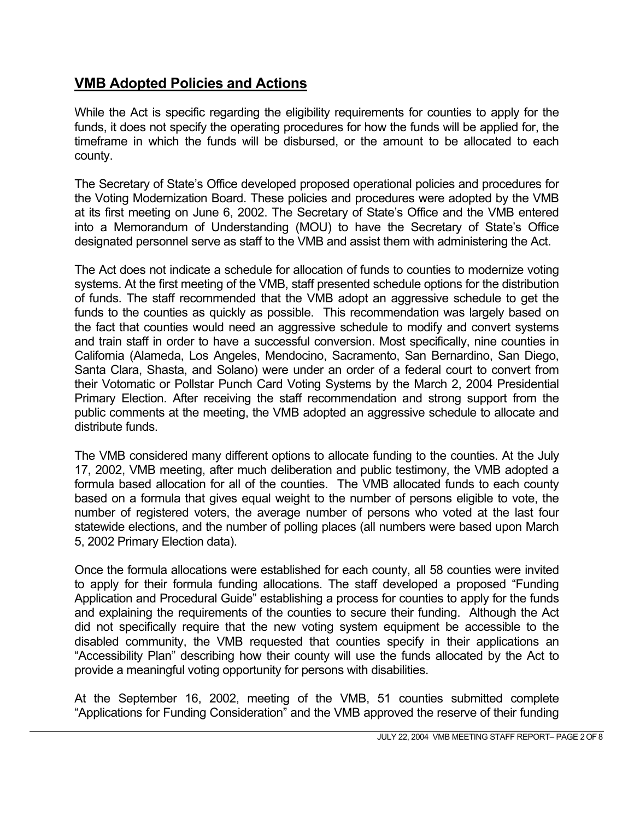## **VMB Adopted Policies and Actions**

While the Act is specific regarding the eligibility requirements for counties to apply for the funds, it does not specify the operating procedures for how the funds will be applied for, the timeframe in which the funds will be disbursed, or the amount to be allocated to each county.

The Secretary of State's Office developed proposed operational policies and procedures for the Voting Modernization Board. These policies and procedures were adopted by the VMB at its first meeting on June 6, 2002. The Secretary of State's Office and the VMB entered into a Memorandum of Understanding (MOU) to have the Secretary of State's Office designated personnel serve as staff to the VMB and assist them with administering the Act.

The Act does not indicate a schedule for allocation of funds to counties to modernize voting systems. At the first meeting of the VMB, staff presented schedule options for the distribution of funds. The staff recommended that the VMB adopt an aggressive schedule to get the funds to the counties as quickly as possible. This recommendation was largely based on the fact that counties would need an aggressive schedule to modify and convert systems and train staff in order to have a successful conversion. Most specifically, nine counties in California (Alameda, Los Angeles, Mendocino, Sacramento, San Bernardino, San Diego, Santa Clara, Shasta, and Solano) were under an order of a federal court to convert from their Votomatic or Pollstar Punch Card Voting Systems by the March 2, 2004 Presidential Primary Election. After receiving the staff recommendation and strong support from the public comments at the meeting, the VMB adopted an aggressive schedule to allocate and distribute funds.

The VMB considered many different options to allocate funding to the counties. At the July 17, 2002, VMB meeting, after much deliberation and public testimony, the VMB adopted a formula based allocation for all of the counties. The VMB allocated funds to each county based on a formula that gives equal weight to the number of persons eligible to vote, the number of registered voters, the average number of persons who voted at the last four statewide elections, and the number of polling places (all numbers were based upon March 5, 2002 Primary Election data).

Once the formula allocations were established for each county, all 58 counties were invited to apply for their formula funding allocations. The staff developed a proposed "Funding Application and Procedural Guide" establishing a process for counties to apply for the funds and explaining the requirements of the counties to secure their funding. Although the Act did not specifically require that the new voting system equipment be accessible to the disabled community, the VMB requested that counties specify in their applications an "Accessibility Plan" describing how their county will use the funds allocated by the Act to provide a meaningful voting opportunity for persons with disabilities.

At the September 16, 2002, meeting of the VMB, 51 counties submitted complete "Applications for Funding Consideration" and the VMB approved the reserve of their funding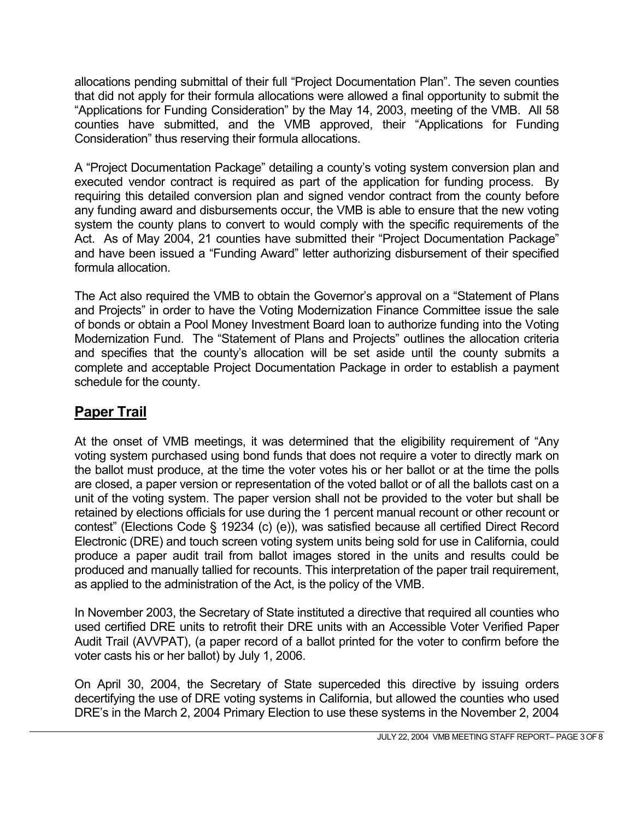allocations pending submittal of their full "Project Documentation Plan". The seven counties that did not apply for their formula allocations were allowed a final opportunity to submit the "Applications for Funding Consideration" by the May 14, 2003, meeting of the VMB. All 58 counties have submitted, and the VMB approved, their "Applications for Funding Consideration" thus reserving their formula allocations.

A "Project Documentation Package" detailing a county's voting system conversion plan and executed vendor contract is required as part of the application for funding process. By requiring this detailed conversion plan and signed vendor contract from the county before any funding award and disbursements occur, the VMB is able to ensure that the new voting system the county plans to convert to would comply with the specific requirements of the Act. As of May 2004, 21 counties have submitted their "Project Documentation Package" and have been issued a "Funding Award" letter authorizing disbursement of their specified formula allocation.

The Act also required the VMB to obtain the Governor's approval on a "Statement of Plans and Projects" in order to have the Voting Modernization Finance Committee issue the sale of bonds or obtain a Pool Money Investment Board loan to authorize funding into the Voting Modernization Fund. The "Statement of Plans and Projects" outlines the allocation criteria and specifies that the county's allocation will be set aside until the county submits a complete and acceptable Project Documentation Package in order to establish a payment schedule for the county.

# **Paper Trail**

At the onset of VMB meetings, it was determined that the eligibility requirement of "Any voting system purchased using bond funds that does not require a voter to directly mark on the ballot must produce, at the time the voter votes his or her ballot or at the time the polls are closed, a paper version or representation of the voted ballot or of all the ballots cast on a unit of the voting system. The paper version shall not be provided to the voter but shall be retained by elections officials for use during the 1 percent manual recount or other recount or contest" (Elections Code § 19234 (c) (e)), was satisfied because all certified Direct Record Electronic (DRE) and touch screen voting system units being sold for use in California, could produce a paper audit trail from ballot images stored in the units and results could be produced and manually tallied for recounts. This interpretation of the paper trail requirement, as applied to the administration of the Act, is the policy of the VMB.

In November 2003, the Secretary of State instituted a directive that required all counties who used certified DRE units to retrofit their DRE units with an Accessible Voter Verified Paper Audit Trail (AVVPAT), (a paper record of a ballot printed for the voter to confirm before the voter casts his or her ballot) by July 1, 2006.

On April 30, 2004, the Secretary of State superceded this directive by issuing orders decertifying the use of DRE voting systems in California, but allowed the counties who used DRE's in the March 2, 2004 Primary Election to use these systems in the November 2, 2004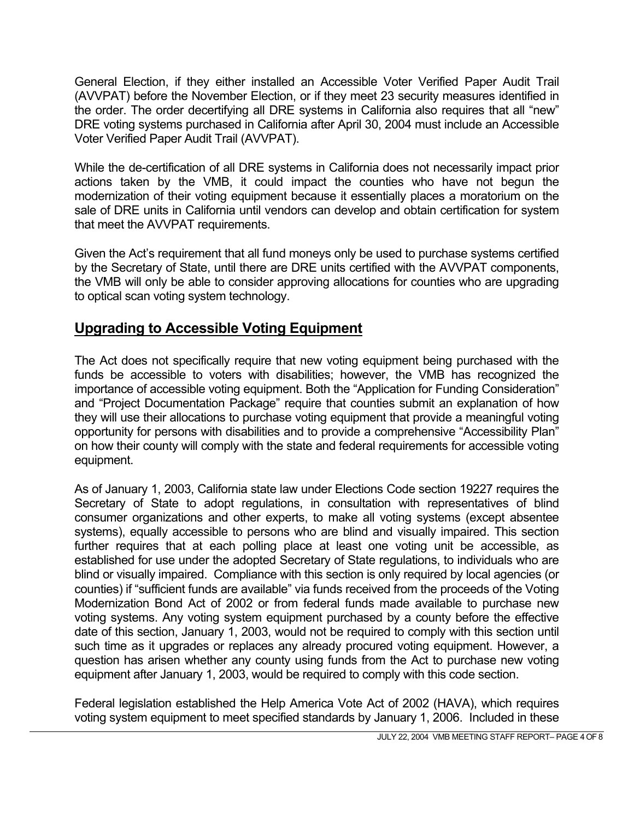General Election, if they either installed an Accessible Voter Verified Paper Audit Trail (AVVPAT) before the November Election, or if they meet 23 security measures identified in the order. The order decertifying all DRE systems in California also requires that all "new" DRE voting systems purchased in California after April 30, 2004 must include an Accessible Voter Verified Paper Audit Trail (AVVPAT).

While the de-certification of all DRE systems in California does not necessarily impact prior actions taken by the VMB, it could impact the counties who have not begun the modernization of their voting equipment because it essentially places a moratorium on the sale of DRE units in California until vendors can develop and obtain certification for system that meet the AVVPAT requirements.

Given the Act's requirement that all fund moneys only be used to purchase systems certified by the Secretary of State, until there are DRE units certified with the AVVPAT components, the VMB will only be able to consider approving allocations for counties who are upgrading to optical scan voting system technology.

## **Upgrading to Accessible Voting Equipment**

The Act does not specifically require that new voting equipment being purchased with the funds be accessible to voters with disabilities; however, the VMB has recognized the importance of accessible voting equipment. Both the "Application for Funding Consideration" and "Project Documentation Package" require that counties submit an explanation of how they will use their allocations to purchase voting equipment that provide a meaningful voting opportunity for persons with disabilities and to provide a comprehensive "Accessibility Plan" on how their county will comply with the state and federal requirements for accessible voting equipment.

As of January 1, 2003, California state law under Elections Code section 19227 requires the Secretary of State to adopt regulations, in consultation with representatives of blind consumer organizations and other experts, to make all voting systems (except absentee systems), equally accessible to persons who are blind and visually impaired. This section further requires that at each polling place at least one voting unit be accessible, as established for use under the adopted Secretary of State regulations, to individuals who are blind or visually impaired. Compliance with this section is only required by local agencies (or counties) if "sufficient funds are available" via funds received from the proceeds of the Voting Modernization Bond Act of 2002 or from federal funds made available to purchase new voting systems. Any voting system equipment purchased by a county before the effective date of this section, January 1, 2003, would not be required to comply with this section until such time as it upgrades or replaces any already procured voting equipment. However, a question has arisen whether any county using funds from the Act to purchase new voting equipment after January 1, 2003, would be required to comply with this code section.

Federal legislation established the Help America Vote Act of 2002 (HAVA), which requires voting system equipment to meet specified standards by January 1, 2006. Included in these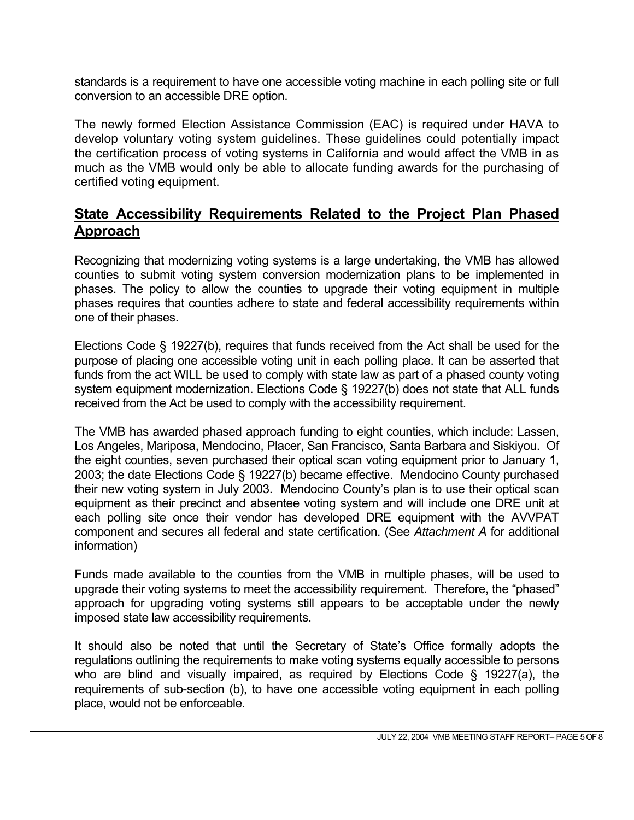standards is a requirement to have one accessible voting machine in each polling site or full conversion to an accessible DRE option.

The newly formed Election Assistance Commission (EAC) is required under HAVA to develop voluntary voting system guidelines. These guidelines could potentially impact the certification process of voting systems in California and would affect the VMB in as much as the VMB would only be able to allocate funding awards for the purchasing of certified voting equipment.

### **State Accessibility Requirements Related to the Project Plan Phased Approach**

Recognizing that modernizing voting systems is a large undertaking, the VMB has allowed counties to submit voting system conversion modernization plans to be implemented in phases. The policy to allow the counties to upgrade their voting equipment in multiple phases requires that counties adhere to state and federal accessibility requirements within one of their phases.

Elections Code § 19227(b), requires that funds received from the Act shall be used for the purpose of placing one accessible voting unit in each polling place. It can be asserted that funds from the act WILL be used to comply with state law as part of a phased county voting system equipment modernization. Elections Code § 19227(b) does not state that ALL funds received from the Act be used to comply with the accessibility requirement.

The VMB has awarded phased approach funding to eight counties, which include: Lassen, Los Angeles, Mariposa, Mendocino, Placer, San Francisco, Santa Barbara and Siskiyou. Of the eight counties, seven purchased their optical scan voting equipment prior to January 1, 2003; the date Elections Code § 19227(b) became effective. Mendocino County purchased their new voting system in July 2003. Mendocino County's plan is to use their optical scan equipment as their precinct and absentee voting system and will include one DRE unit at each polling site once their vendor has developed DRE equipment with the AVVPAT component and secures all federal and state certification. (See *Attachment A* for additional information)

Funds made available to the counties from the VMB in multiple phases, will be used to upgrade their voting systems to meet the accessibility requirement. Therefore, the "phased" approach for upgrading voting systems still appears to be acceptable under the newly imposed state law accessibility requirements.

It should also be noted that until the Secretary of State's Office formally adopts the regulations outlining the requirements to make voting systems equally accessible to persons who are blind and visually impaired, as required by Elections Code § 19227(a), the requirements of sub-section (b), to have one accessible voting equipment in each polling place, would not be enforceable.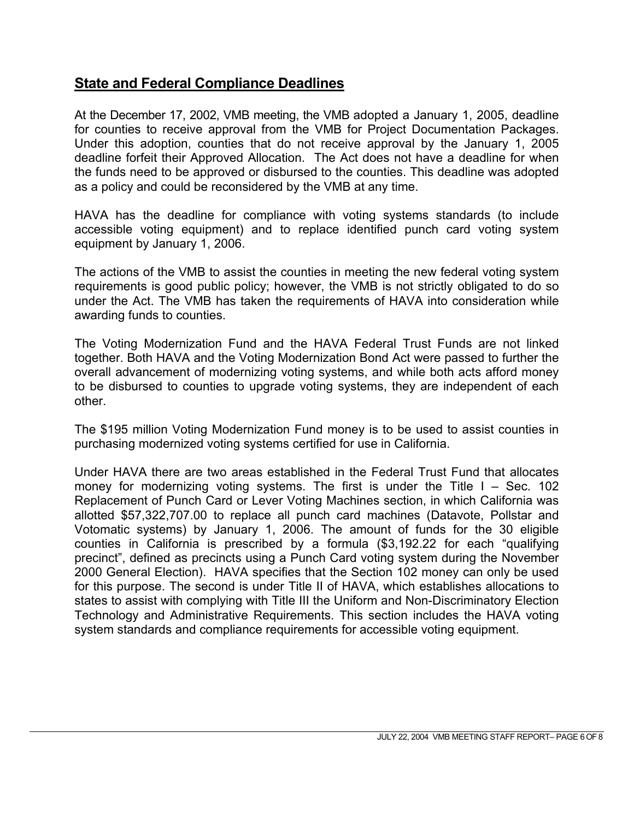### **State and Federal Compliance Deadlines**

At the December 17, 2002, VMB meeting, the VMB adopted a January 1, 2005, deadline for counties to receive approval from the VMB for Project Documentation Packages. Under this adoption, counties that do not receive approval by the January 1, 2005 deadline forfeit their Approved Allocation. The Act does not have a deadline for when the funds need to be approved or disbursed to the counties. This deadline was adopted as a policy and could be reconsidered by the VMB at any time.

HAVA has the deadline for compliance with voting systems standards (to include accessible voting equipment) and to replace identified punch card voting system equipment by January 1, 2006.

The actions of the VMB to assist the counties in meeting the new federal voting system requirements is good public policy; however, the VMB is not strictly obligated to do so under the Act. The VMB has taken the requirements of HAVA into consideration while awarding funds to counties.

The Voting Modernization Fund and the HAVA Federal Trust Funds are not linked together. Both HAVA and the Voting Modernization Bond Act were passed to further the overall advancement of modernizing voting systems, and while both acts afford money to be disbursed to counties to upgrade voting systems, they are independent of each other.

The \$195 million Voting Modernization Fund money is to be used to assist counties in purchasing modernized voting systems certified for use in California.

Under HAVA there are two areas established in the Federal Trust Fund that allocates money for modernizing voting systems. The first is under the Title  $I - Sec. 102$ Replacement of Punch Card or Lever Voting Machines section, in which California was allotted \$57,322,707.00 to replace all punch card machines (Datavote, Pollstar and Votomatic systems) by January 1, 2006. The amount of funds for the 30 eligible counties in California is prescribed by a formula (\$3,192.22 for each "qualifying precinct", defined as precincts using a Punch Card voting system during the November 2000 General Election). HAVA specifies that the Section 102 money can only be used for this purpose. The second is under Title II of HAVA, which establishes allocations to states to assist with complying with Title III the Uniform and Non-Discriminatory Election Technology and Administrative Requirements. This section includes the HAVA voting system standards and compliance requirements for accessible voting equipment.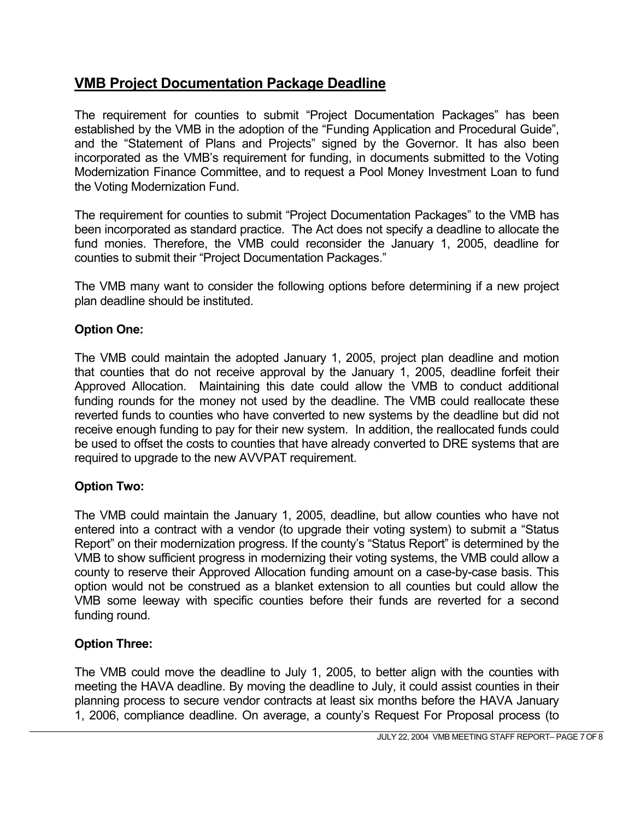## **VMB Project Documentation Package Deadline**

The requirement for counties to submit "Project Documentation Packages" has been established by the VMB in the adoption of the "Funding Application and Procedural Guide", and the "Statement of Plans and Projects" signed by the Governor. It has also been incorporated as the VMB's requirement for funding, in documents submitted to the Voting Modernization Finance Committee, and to request a Pool Money Investment Loan to fund the Voting Modernization Fund.

The requirement for counties to submit "Project Documentation Packages" to the VMB has been incorporated as standard practice. The Act does not specify a deadline to allocate the fund monies. Therefore, the VMB could reconsider the January 1, 2005, deadline for counties to submit their "Project Documentation Packages."

The VMB many want to consider the following options before determining if a new project plan deadline should be instituted.

### **Option One:**

The VMB could maintain the adopted January 1, 2005, project plan deadline and motion that counties that do not receive approval by the January 1, 2005, deadline forfeit their Approved Allocation. Maintaining this date could allow the VMB to conduct additional funding rounds for the money not used by the deadline. The VMB could reallocate these reverted funds to counties who have converted to new systems by the deadline but did not receive enough funding to pay for their new system. In addition, the reallocated funds could be used to offset the costs to counties that have already converted to DRE systems that are required to upgrade to the new AVVPAT requirement.

#### **Option Two:**

The VMB could maintain the January 1, 2005, deadline, but allow counties who have not entered into a contract with a vendor (to upgrade their voting system) to submit a "Status Report" on their modernization progress. If the county's "Status Report" is determined by the VMB to show sufficient progress in modernizing their voting systems, the VMB could allow a county to reserve their Approved Allocation funding amount on a case-by-case basis. This option would not be construed as a blanket extension to all counties but could allow the VMB some leeway with specific counties before their funds are reverted for a second funding round.

### **Option Three:**

The VMB could move the deadline to July 1, 2005, to better align with the counties with meeting the HAVA deadline. By moving the deadline to July, it could assist counties in their planning process to secure vendor contracts at least six months before the HAVA January 1, 2006, compliance deadline. On average, a county's Request For Proposal process (to